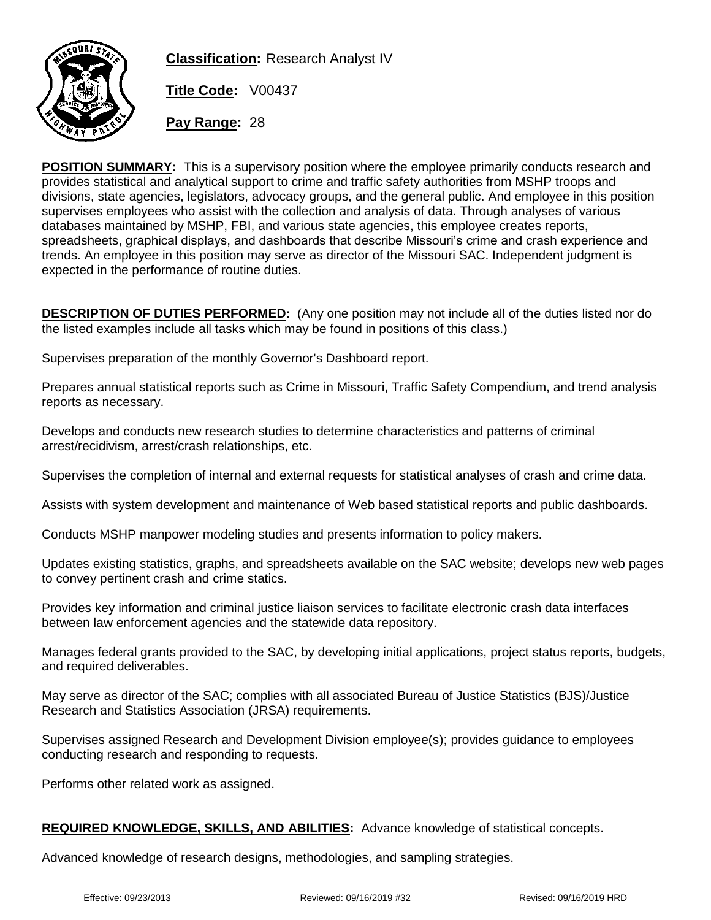

**Classification:** Research Analyst IV

**Title Code:** V00437

**Pay Range:** 28

**POSITION SUMMARY:** This is a supervisory position where the employee primarily conducts research and provides statistical and analytical support to crime and traffic safety authorities from MSHP troops and divisions, state agencies, legislators, advocacy groups, and the general public. And employee in this position supervises employees who assist with the collection and analysis of data. Through analyses of various databases maintained by MSHP, FBI, and various state agencies, this employee creates reports, spreadsheets, graphical displays, and dashboards that describe Missouri's crime and crash experience and trends. An employee in this position may serve as director of the Missouri SAC. Independent judgment is expected in the performance of routine duties.

**DESCRIPTION OF DUTIES PERFORMED:** (Any one position may not include all of the duties listed nor do the listed examples include all tasks which may be found in positions of this class.)

Supervises preparation of the monthly Governor's Dashboard report.

Prepares annual statistical reports such as Crime in Missouri, Traffic Safety Compendium, and trend analysis reports as necessary.

Develops and conducts new research studies to determine characteristics and patterns of criminal arrest/recidivism, arrest/crash relationships, etc.

Supervises the completion of internal and external requests for statistical analyses of crash and crime data.

Assists with system development and maintenance of Web based statistical reports and public dashboards.

Conducts MSHP manpower modeling studies and presents information to policy makers.

Updates existing statistics, graphs, and spreadsheets available on the SAC website; develops new web pages to convey pertinent crash and crime statics.

Provides key information and criminal justice liaison services to facilitate electronic crash data interfaces between law enforcement agencies and the statewide data repository.

Manages federal grants provided to the SAC, by developing initial applications, project status reports, budgets, and required deliverables.

May serve as director of the SAC; complies with all associated Bureau of Justice Statistics (BJS)/Justice Research and Statistics Association (JRSA) requirements.

Supervises assigned Research and Development Division employee(s); provides guidance to employees conducting research and responding to requests.

Performs other related work as assigned.

## **REQUIRED KNOWLEDGE, SKILLS, AND ABILITIES:** Advance knowledge of statistical concepts.

Advanced knowledge of research designs, methodologies, and sampling strategies.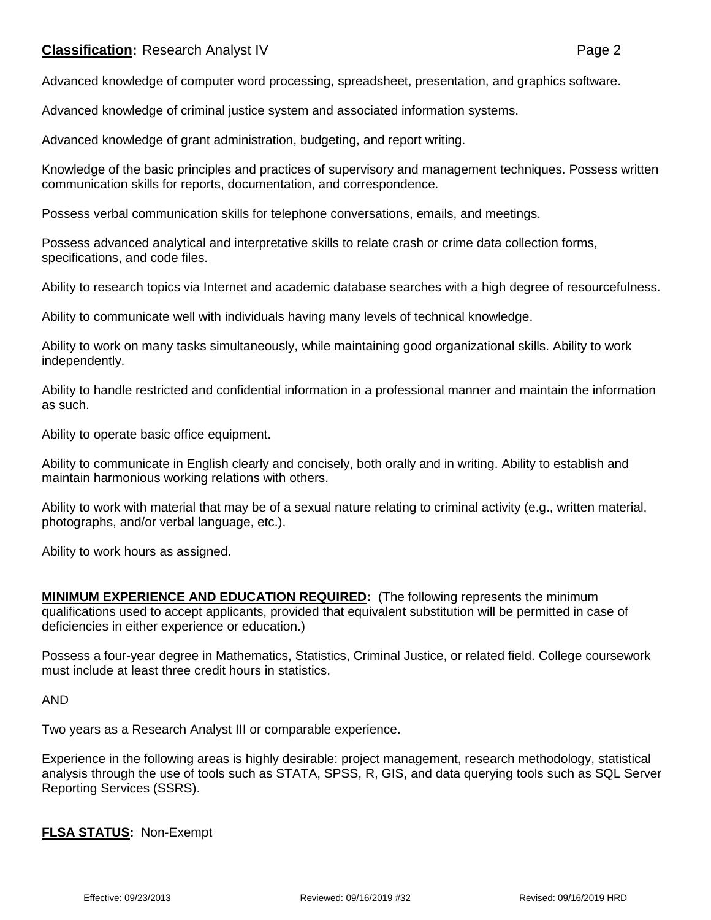## **Classification:** Research Analyst IV **Page 2**

Advanced knowledge of computer word processing, spreadsheet, presentation, and graphics software.

Advanced knowledge of criminal justice system and associated information systems.

Advanced knowledge of grant administration, budgeting, and report writing.

Knowledge of the basic principles and practices of supervisory and management techniques. Possess written communication skills for reports, documentation, and correspondence.

Possess verbal communication skills for telephone conversations, emails, and meetings.

Possess advanced analytical and interpretative skills to relate crash or crime data collection forms, specifications, and code files.

Ability to research topics via Internet and academic database searches with a high degree of resourcefulness.

Ability to communicate well with individuals having many levels of technical knowledge.

Ability to work on many tasks simultaneously, while maintaining good organizational skills. Ability to work independently.

Ability to handle restricted and confidential information in a professional manner and maintain the information as such.

Ability to operate basic office equipment.

Ability to communicate in English clearly and concisely, both orally and in writing. Ability to establish and maintain harmonious working relations with others.

Ability to work with material that may be of a sexual nature relating to criminal activity (e.g., written material, photographs, and/or verbal language, etc.).

Ability to work hours as assigned.

**MINIMUM EXPERIENCE AND EDUCATION REQUIRED:** (The following represents the minimum qualifications used to accept applicants, provided that equivalent substitution will be permitted in case of deficiencies in either experience or education.)

Possess a four-year degree in Mathematics, Statistics, Criminal Justice, or related field. College coursework must include at least three credit hours in statistics.

AND

Two years as a Research Analyst III or comparable experience.

Experience in the following areas is highly desirable: project management, research methodology, statistical analysis through the use of tools such as STATA, SPSS, R, GIS, and data querying tools such as SQL Server Reporting Services (SSRS).

**FLSA STATUS:** Non-Exempt